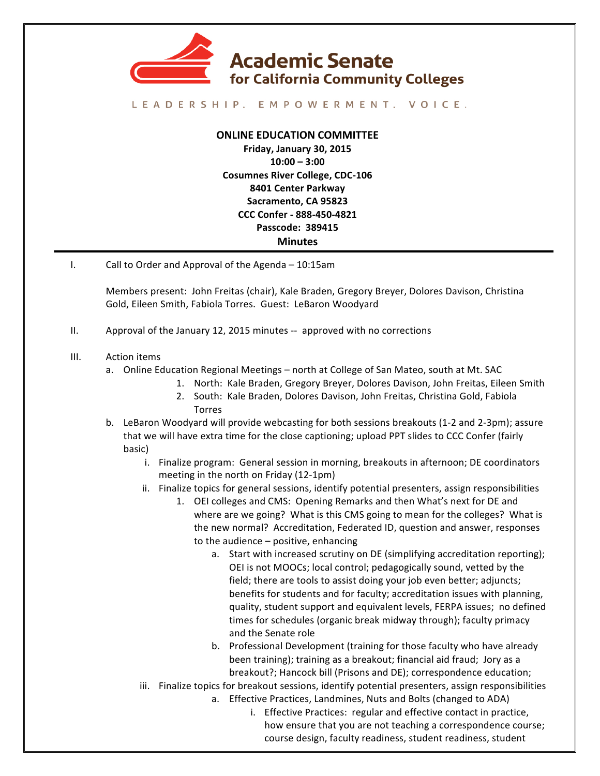

## LEADERSHIP. EMPOWERMENT. VOICE.

## **ONLINE EDUCATION COMMITTEE**

**Friday, January 30, 2015 10:00 – 3:00 Cosumnes River College, CDC-106 8401 Center Parkway Sacramento, CA 95823 CCC Confer - 888-450-4821 Passcode: 389415 Minutes**

I. Call to Order and Approval of the Agenda – 10:15am

Members present: John Freitas (chair), Kale Braden, Gregory Breyer, Dolores Davison, Christina Gold, Eileen Smith, Fabiola Torres. Guest: LeBaron Woodyard

- II. Approval of the January 12, 2015 minutes -- approved with no corrections
- III. Action items
	- a. Online Education Regional Meetings north at College of San Mateo, south at Mt. SAC
		- 1. North: Kale Braden, Gregory Breyer, Dolores Davison, John Freitas, Eileen Smith
		- 2. South: Kale Braden, Dolores Davison, John Freitas, Christina Gold, Fabiola Torres
	- b. LeBaron Woodyard will provide webcasting for both sessions breakouts (1-2 and 2-3pm); assure that we will have extra time for the close captioning; upload PPT slides to CCC Confer (fairly basic)
		- i. Finalize program: General session in morning, breakouts in afternoon; DE coordinators meeting in the north on Friday  $(12-1pm)$
		- ii. Finalize topics for general sessions, identify potential presenters, assign responsibilities
			- 1. OEI colleges and CMS: Opening Remarks and then What's next for DE and where are we going? What is this CMS going to mean for the colleges? What is the new normal? Accreditation, Federated ID, question and answer, responses to the audience  $-$  positive, enhancing
				- a. Start with increased scrutiny on DE (simplifying accreditation reporting); OEI is not MOOCs; local control; pedagogically sound, vetted by the field; there are tools to assist doing your job even better; adjuncts; benefits for students and for faculty; accreditation issues with planning, quality, student support and equivalent levels, FERPA issues; no defined times for schedules (organic break midway through); faculty primacy and the Senate role
				- b. Professional Development (training for those faculty who have already been training); training as a breakout; financial aid fraud; Jory as a breakout?; Hancock bill (Prisons and DE); correspondence education;
		- iii. Finalize topics for breakout sessions, identify potential presenters, assign responsibilities
			- a. Effective Practices, Landmines, Nuts and Bolts (changed to ADA)
				- i. Effective Practices: regular and effective contact in practice, how ensure that you are not teaching a correspondence course; course design, faculty readiness, student readiness, student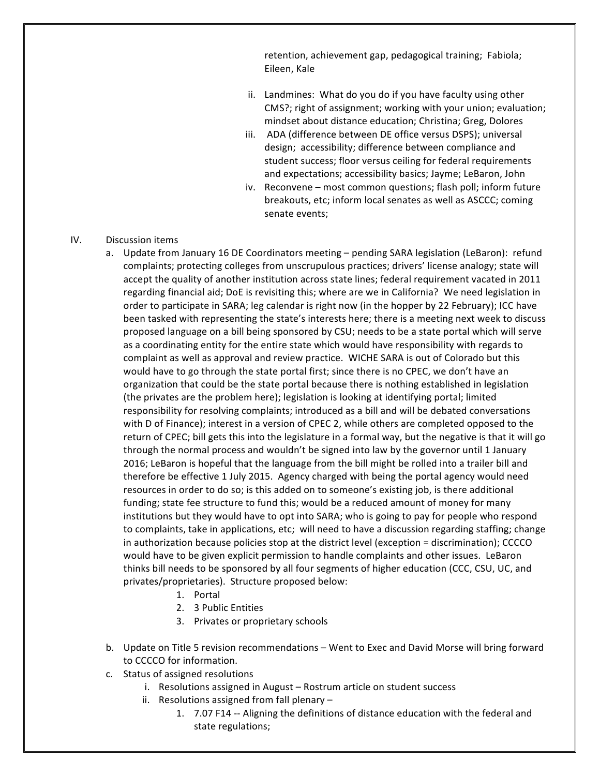retention, achievement gap, pedagogical training; Fabiola; Eileen, Kale

- ii. Landmines: What do you do if you have faculty using other CMS?; right of assignment; working with your union; evaluation; mindset about distance education; Christina; Greg, Dolores
- iii. ADA (difference between DE office versus DSPS); universal design; accessibility; difference between compliance and student success; floor versus ceiling for federal requirements and expectations; accessibility basics; Jayme; LeBaron, John
- iv. Reconvene most common questions; flash poll; inform future breakouts, etc; inform local senates as well as ASCCC; coming senate events;
- IV. Discussion items
	- a. Update from January 16 DE Coordinators meeting pending SARA legislation (LeBaron): refund complaints; protecting colleges from unscrupulous practices; drivers' license analogy; state will accept the quality of another institution across state lines; federal requirement vacated in 2011 regarding financial aid; DoE is revisiting this; where are we in California? We need legislation in order to participate in SARA; leg calendar is right now (in the hopper by 22 February); ICC have been tasked with representing the state's interests here; there is a meeting next week to discuss proposed language on a bill being sponsored by CSU; needs to be a state portal which will serve as a coordinating entity for the entire state which would have responsibility with regards to complaint as well as approval and review practice. WICHE SARA is out of Colorado but this would have to go through the state portal first; since there is no CPEC, we don't have an organization that could be the state portal because there is nothing established in legislation (the privates are the problem here); legislation is looking at identifying portal; limited responsibility for resolving complaints; introduced as a bill and will be debated conversations with D of Finance); interest in a version of CPEC 2, while others are completed opposed to the return of CPEC; bill gets this into the legislature in a formal way, but the negative is that it will go through the normal process and wouldn't be signed into law by the governor until 1 January 2016; LeBaron is hopeful that the language from the bill might be rolled into a trailer bill and therefore be effective 1 July 2015. Agency charged with being the portal agency would need resources in order to do so; is this added on to someone's existing job, is there additional funding; state fee structure to fund this; would be a reduced amount of money for many institutions but they would have to opt into SARA; who is going to pay for people who respond to complaints, take in applications, etc; will need to have a discussion regarding staffing; change in authorization because policies stop at the district level (exception = discrimination); CCCCO would have to be given explicit permission to handle complaints and other issues. LeBaron thinks bill needs to be sponsored by all four segments of higher education (CCC, CSU, UC, and privates/proprietaries). Structure proposed below:
		- 1. Portal
		- 2. 3 Public Entities
		- 3. Privates or proprietary schools
	- b. Update on Title 5 revision recommendations Went to Exec and David Morse will bring forward to CCCCO for information.
	- c. Status of assigned resolutions
		- i. Resolutions assigned in August Rostrum article on student success
		- ii. Resolutions assigned from fall plenary  $-$ 
			- 1. 7.07 F14 -- Aligning the definitions of distance education with the federal and state regulations;